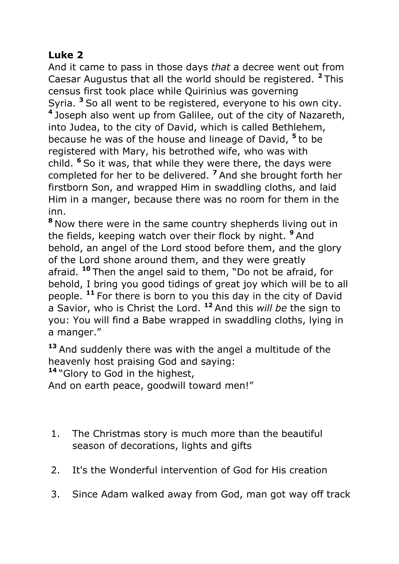# **Luke 2**

And it came to pass in those days *that* a decree went out from Caesar Augustus that all the world should be registered. **<sup>2</sup>** This census first took place while Quirinius was governing Syria. **<sup>3</sup>** So all went to be registered, everyone to his own city. **4** Joseph also went up from Galilee, out of the city of Nazareth, into Judea, to the city of David, which is called Bethlehem, because he was of the house and lineage of David, **<sup>5</sup>** to be registered with Mary, his betrothed wife, who was with child. **<sup>6</sup>** So it was, that while they were there, the days were completed for her to be delivered. **<sup>7</sup>** And she brought forth her firstborn Son, and wrapped Him in swaddling cloths, and laid Him in a manger, because there was no room for them in the inn.

**<sup>8</sup>** Now there were in the same country shepherds living out in the fields, keeping watch over their flock by night. **<sup>9</sup>** And behold, an angel of the Lord stood before them, and the glory of the Lord shone around them, and they were greatly afraid. **<sup>10</sup>** Then the angel said to them, "Do not be afraid, for behold, I bring you good tidings of great joy which will be to all people. **<sup>11</sup>** For there is born to you this day in the city of David a Savior, who is Christ the Lord. **<sup>12</sup>** And this *will be* the sign to you: You will find a Babe wrapped in swaddling cloths, lying in a manger."

**<sup>13</sup>** And suddenly there was with the angel a multitude of the heavenly host praising God and saying:

**<sup>14</sup>** "Glory to God in the highest,

And on earth peace, goodwill toward men!"

- 1. The Christmas story is much more than the beautiful season of decorations, lights and gifts
- 2. It's the Wonderful intervention of God for His creation
- 3. Since Adam walked away from God, man got way off track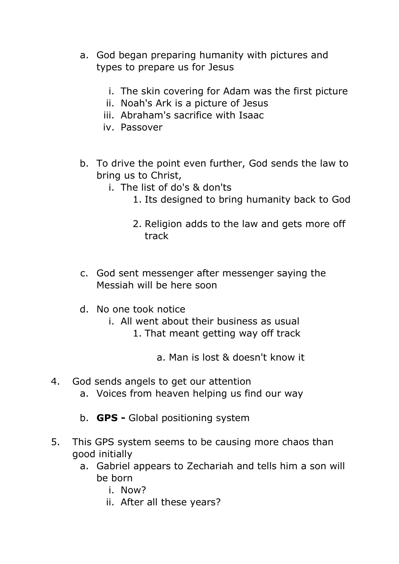- a. God began preparing humanity with pictures and types to prepare us for Jesus
	- i. The skin covering for Adam was the first picture
	- ii. Noah's Ark is a picture of Jesus
	- iii. Abraham's sacrifice with Isaac
	- iv. Passover
- b. To drive the point even further, God sends the law to bring us to Christ,
	- i. The list of do's & don'ts
		- 1. Its designed to bring humanity back to God
		- 2. Religion adds to the law and gets more off track
- c. God sent messenger after messenger saying the Messiah will be here soon
- d. No one took notice
	- i. All went about their business as usual
		- 1. That meant getting way off track

a. Man is lost & doesn't know it

- 4. God sends angels to get our attention
	- a. Voices from heaven helping us find our way
	- b. **GPS -** Global positioning system
- 5. This GPS system seems to be causing more chaos than good initially
	- a. Gabriel appears to Zechariah and tells him a son will be born
		- i. Now?
		- ii. After all these years?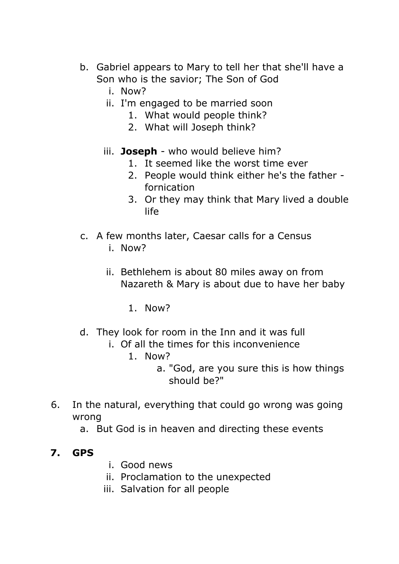- b. Gabriel appears to Mary to tell her that she'll have a Son who is the savior; The Son of God
	- i. Now?
	- ii. I'm engaged to be married soon
		- 1. What would people think?
		- 2. What will Joseph think?
	- iii. **Joseph** who would believe him?
		- 1. It seemed like the worst time ever
		- 2. People would think either he's the father fornication
		- 3. Or they may think that Mary lived a double life
- c. A few months later, Caesar calls for a Census i. Now?
	- ii. Bethlehem is about 80 miles away on from Nazareth & Mary is about due to have her baby
		- 1. Now?
- d. They look for room in the Inn and it was full
	- i. Of all the times for this inconvenience
		- 1. Now?
			- a. "God, are you sure this is how things should be?"
- 6. In the natural, everything that could go wrong was going wrong
	- a. But God is in heaven and directing these events

### **7. GPS**

- i. Good news
- ii. Proclamation to the unexpected
- iii. Salvation for all people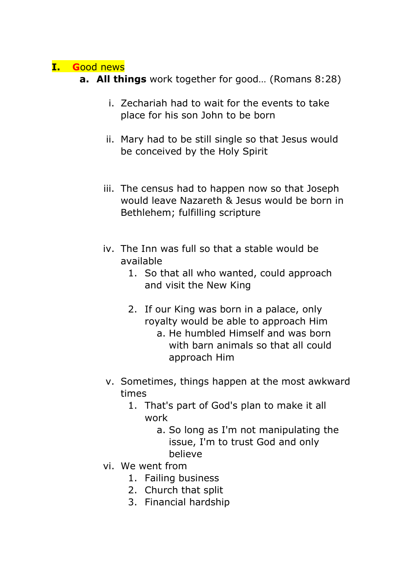### **I. G**ood news

- **a. All things** work together for good… (Romans 8:28)
	- i. Zechariah had to wait for the events to take place for his son John to be born
	- ii. Mary had to be still single so that Jesus would be conceived by the Holy Spirit
	- iii. The census had to happen now so that Joseph would leave Nazareth & Jesus would be born in Bethlehem; fulfilling scripture
	- iv. The Inn was full so that a stable would be available
		- 1. So that all who wanted, could approach and visit the New King
		- 2. If our King was born in a palace, only royalty would be able to approach Him a. He humbled Himself and was born with barn animals so that all could approach Him
	- v. Sometimes, things happen at the most awkward times
		- 1. That's part of God's plan to make it all work
			- a. So long as I'm not manipulating the issue, I'm to trust God and only believe
	- vi. We went from
		- 1. Failing business
		- 2. Church that split
		- 3. Financial hardship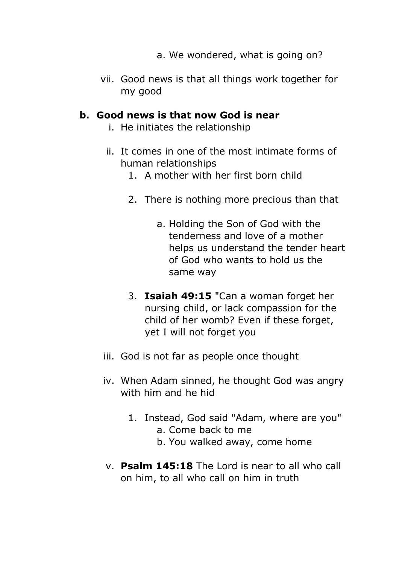- a. We wondered, what is going on?
- vii. Good news is that all things work together for my good

#### **b. Good news is that now God is near**

- i. He initiates the relationship
- ii. It comes in one of the most intimate forms of human relationships
	- 1. A mother with her first born child
	- 2. There is nothing more precious than that
		- a. Holding the Son of God with the tenderness and love of a mother helps us understand the tender heart of God who wants to hold us the same way
	- 3. **Isaiah 49:15** "Can a woman forget her nursing child, or lack compassion for the child of her womb? Even if these forget, yet I will not forget you
- iii. God is not far as people once thought
- iv. When Adam sinned, he thought God was angry with him and he hid
	- 1. Instead, God said "Adam, where are you" a. Come back to me
		- b. You walked away, come home
- v. **Psalm 145:18** The Lord is near to all who call on him, to all who call on him in truth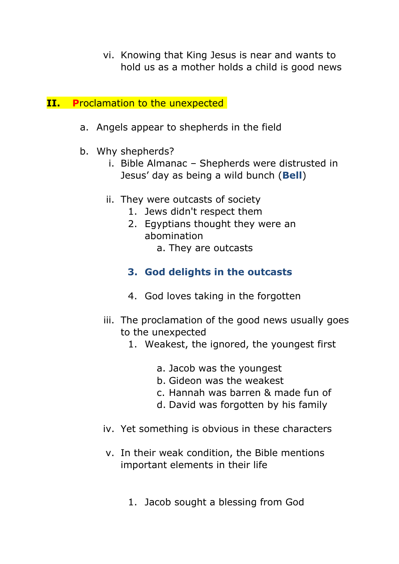- vi. Knowing that King Jesus is near and wants to hold us as a mother holds a child is good news
- **II.** Proclamation to the unexpected
	- a. Angels appear to shepherds in the field
	- b. Why shepherds?
		- i. Bible Almanac Shepherds were distrusted in Jesus' day as being a wild bunch (**Bell**)
		- ii. They were outcasts of society
			- 1. Jews didn't respect them
			- 2. Egyptians thought they were an abomination
				- a. They are outcasts
			- **3. God delights in the outcasts**
			- 4. God loves taking in the forgotten
		- iii. The proclamation of the good news usually goes to the unexpected
			- 1. Weakest, the ignored, the youngest first
				- a. Jacob was the youngest
				- b. Gideon was the weakest
				- c. Hannah was barren & made fun of
				- d. David was forgotten by his family
		- iv. Yet something is obvious in these characters
		- v. In their weak condition, the Bible mentions important elements in their life
			- 1. Jacob sought a blessing from God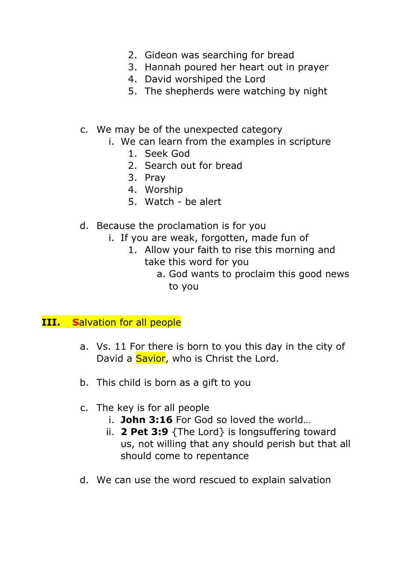- 2. Gideon was searching for bread
- 3. Hannah poured her heart out in prayer
- 4. David worshiped the Lord
- 5. The shepherds were watching by night
- c. We may be of the unexpected category
	- i. We can learn from the examples in scripture
		- 1. Seek God
		- 2. Search out for bread
		- 3. Pray
		- 4. Worship
		- 5. Watch be alert
- d. Because the proclamation is for you
	- i. If you are weak, forgotten, made fun of
		- 1. Allow your faith to rise this morning and take this word for you
			- a. God wants to proclaim this good news to you

#### **III. S**alvation for all people

- a. Vs. 11 For there is born to you this day in the city of David a **Savior**, who is Christ the Lord.
- b. This child is born as a gift to you
- c. The key is for all people
	- i. **John 3:16** For God so loved the world…
	- ii. **2 Pet 3:9** {The Lord} is longsuffering toward us, not willing that any should perish but that all should come to repentance
- d. We can use the word rescued to explain salvation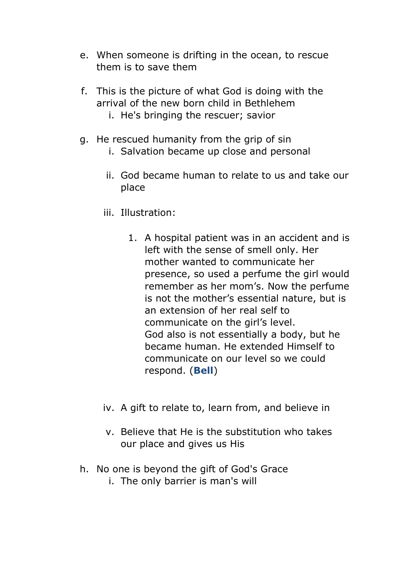- e. When someone is drifting in the ocean, to rescue them is to save them
- f. This is the picture of what God is doing with the arrival of the new born child in Bethlehem
	- i. He's bringing the rescuer; savior
- g. He rescued humanity from the grip of sin
	- i. Salvation became up close and personal
	- ii. God became human to relate to us and take our place
	- iii. Illustration:
		- 1. A hospital patient was in an accident and is left with the sense of smell only. Her mother wanted to communicate her presence, so used a perfume the girl would remember as her mom's. Now the perfume is not the mother's essential nature, but is an extension of her real self to communicate on the girl's level. God also is not essentially a body, but he became human. He extended Himself to communicate on our level so we could respond. (**Bell**)
	- iv. A gift to relate to, learn from, and believe in
	- v. Believe that He is the substitution who takes our place and gives us His
- h. No one is beyond the gift of God's Grace
	- i. The only barrier is man's will